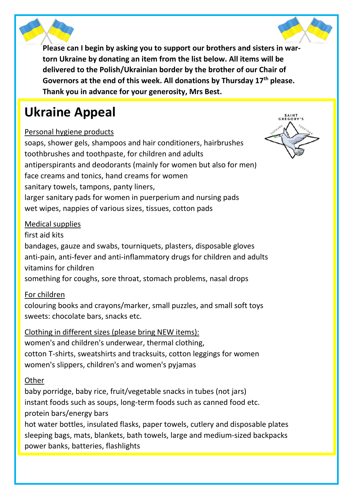

**Please can I begin by asking you to support our brothers and sisters in wartorn Ukraine by donating an item from the list below. All items will be delivered to the Polish/Ukrainian border by the brother of our Chair of Governors at the end of this week. All donations by Thursday 17th please. Thank you in advance for your generosity, Mrs Best.** 

# **Ukraine Appeal**

### Personal hygiene products

soaps, shower gels, shampoos and hair conditioners, hairbrushes toothbrushes and toothpaste, for children and adults antiperspirants and deodorants (mainly for women but also for men) face creams and tonics, hand creams for women sanitary towels, tampons, panty liners, larger sanitary pads for women in puerperium and nursing pads wet wipes, nappies of various sizes, tissues, cotton pads

#### Medical supplies

first aid kits bandages, gauze and swabs, tourniquets, plasters, disposable gloves anti-pain, anti-fever and anti-inflammatory drugs for children and adults vitamins for children something for coughs, sore throat, stomach problems, nasal drops

### For children

colouring books and crayons/marker, small puzzles, and small soft toys sweets: chocolate bars, snacks etc.

Clothing in different sizes (please bring NEW items): women's and children's underwear, thermal clothing, cotton T-shirts, sweatshirts and tracksuits, cotton leggings for women women's slippers, children's and women's pyjamas

#### **Other**

baby porridge, baby rice, fruit/vegetable snacks in tubes (not jars) instant foods such as soups, long-term foods such as canned food etc. protein bars/energy bars

hot water bottles, insulated flasks, paper towels, cutlery and disposable plates sleeping bags, mats, blankets, bath towels, large and medium-sized backpacks power banks, batteries, flashlights